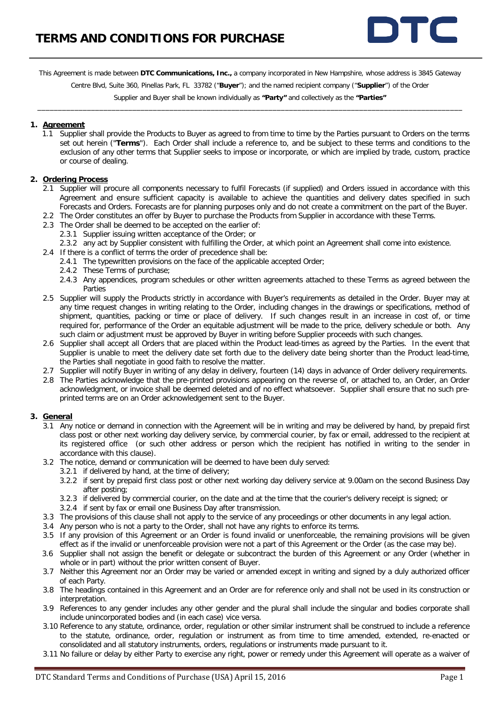

This Agreement is made between **DTC Communications, Inc.,** a company incorporated in New Hampshire, whose address is 3845 Gateway

Centre Blvd, Suite 360, Pinellas Park, FL 33782 ("**Buyer**"); and the named recipient company ("**Supplier**") of the Order

Supplier and Buyer shall be known individually as **"Party"** and collectively as the **"Parties"** \_\_\_\_\_\_\_\_\_\_\_\_\_\_\_\_\_\_\_\_\_\_\_\_\_\_\_\_\_\_\_\_\_\_\_\_\_\_\_\_\_\_\_\_\_\_\_\_\_\_\_\_\_\_\_\_\_\_\_\_\_\_\_\_\_\_\_\_\_\_\_\_\_\_\_\_\_\_\_\_\_\_\_\_\_\_\_\_\_\_\_\_\_\_\_\_\_\_\_\_\_\_\_

#### **1. Agreement**

1.1 Supplier shall provide the Products to Buyer as agreed to from time to time by the Parties pursuant to Orders on the terms set out herein ("**Terms**"). Each Order shall include a reference to, and be subject to these terms and conditions to the exclusion of any other terms that Supplier seeks to impose or incorporate, or which are implied by trade, custom, practice or course of dealing.

### **2. Ordering Process**

- 2.1 Supplier will procure all components necessary to fulfil Forecasts (if supplied) and Orders issued in accordance with this Agreement and ensure sufficient capacity is available to achieve the quantities and delivery dates specified in such Forecasts and Orders. Forecasts are for planning purposes only and do not create a commitment on the part of the Buyer.
- 2.2 The Order constitutes an offer by Buyer to purchase the Products from Supplier in accordance with these Terms.
- 2.3 The Order shall be deemed to be accepted on the earlier of:
	- 2.3.1 Supplier issuing written acceptance of the Order; or
	- 2.3.2 any act by Supplier consistent with fulfilling the Order, at which point an Agreement shall come into existence.
- 2.4 If there is a conflict of terms the order of precedence shall be:
	- 2.4.1 The typewritten provisions on the face of the applicable accepted Order;
	- 2.4.2 These Terms of purchase;
	- 2.4.3 Any appendices, program schedules or other written agreements attached to these Terms as agreed between the Parties
- 2.5 Supplier will supply the Products strictly in accordance with Buyer's requirements as detailed in the Order. Buyer may at any time request changes in writing relating to the Order, including changes in the drawings or specifications, method of shipment, quantities, packing or time or place of delivery. If such changes result in an increase in cost of, or time required for, performance of the Order an equitable adjustment will be made to the price, delivery schedule or both. Any such claim or adjustment must be approved by Buyer in writing before Supplier proceeds with such changes.
- 2.6 Supplier shall accept all Orders that are placed within the Product lead-times as agreed by the Parties. In the event that Supplier is unable to meet the delivery date set forth due to the delivery date being shorter than the Product lead-time, the Parties shall negotiate in good faith to resolve the matter.
- 2.7 Supplier will notify Buyer in writing of any delay in delivery, fourteen (14) days in advance of Order delivery requirements.
- 2.8 The Parties acknowledge that the pre-printed provisions appearing on the reverse of, or attached to, an Order, an Order acknowledgment, or invoice shall be deemed deleted and of no effect whatsoever. Supplier shall ensure that no such preprinted terms are on an Order acknowledgement sent to the Buyer.

#### **3. General**

- 3.1 Any notice or demand in connection with the Agreement will be in writing and may be delivered by hand, by prepaid first class post or other next working day delivery service, by commercial courier, by fax or email, addressed to the recipient at its registered office (or such other address or person which the recipient has notified in writing to the sender in accordance with this clause).
- 3.2 The notice, demand or communication will be deemed to have been duly served:
	- 3.2.1 if delivered by hand, at the time of delivery;
	- 3.2.2 if sent by prepaid first class post or other next working day delivery service at 9.00am on the second Business Day after posting;
	- 3.2.3 if delivered by commercial courier, on the date and at the time that the courier's delivery receipt is signed; or
	- 3.2.4 if sent by fax or email one Business Day after transmission.
- 3.3 The provisions of this clause shall not apply to the service of any proceedings or other documents in any legal action.
- 3.4 Any person who is not a party to the Order, shall not have any rights to enforce its terms.
- 3.5 If any provision of this Agreement or an Order is found invalid or unenforceable, the remaining provisions will be given effect as if the invalid or unenforceable provision were not a part of this Agreement or the Order (as the case may be).
- 3.6 Supplier shall not assign the benefit or delegate or subcontract the burden of this Agreement or any Order (whether in whole or in part) without the prior written consent of Buyer.
- 3.7 Neither this Agreement nor an Order may be varied or amended except in writing and signed by a duly authorized officer of each Party.
- 3.8 The headings contained in this Agreement and an Order are for reference only and shall not be used in its construction or interpretation.
- 3.9 References to any gender includes any other gender and the plural shall include the singular and bodies corporate shall include unincorporated bodies and (in each case) vice versa.
- 3.10 Reference to any statute, ordinance, order, regulation or other similar instrument shall be construed to include a reference to the statute, ordinance, order, regulation or instrument as from time to time amended, extended, re-enacted or consolidated and all statutory instruments, orders, regulations or instruments made pursuant to it.
- 3.11 No failure or delay by either Party to exercise any right, power or remedy under this Agreement will operate as a waiver of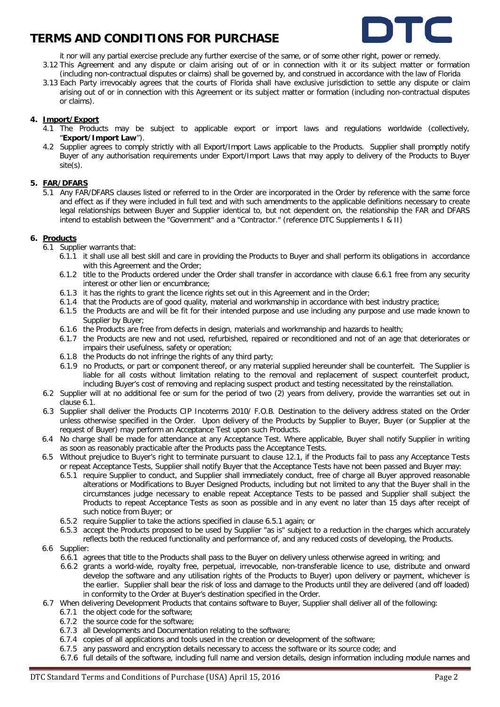

- it nor will any partial exercise preclude any further exercise of the same, or of some other right, power or remedy. 3.12 This Agreement and any dispute or claim arising out of or in connection with it or its subject matter or formation (including non-contractual disputes or claims) shall be governed by, and construed in accordance with the law of Florida
- 3.13 Each Party irrevocably agrees that the courts of Florida shall have exclusive jurisdiction to settle any dispute or claim arising out of or in connection with this Agreement or its subject matter or formation (including non-contractual disputes or claims).

### **4. Import/Export**

- 4.1 The Products may be subject to applicable export or import laws and regulations worldwide (collectively, "**Export/Import Law**").
- 4.2 Supplier agrees to comply strictly with all Export/Import Laws applicable to the Products. Supplier shall promptly notify Buyer of any authorisation requirements under Export/Import Laws that may apply to delivery of the Products to Buyer site(s).

### **5. FAR/DFARS**

5.1 Any FAR/DFARS clauses listed or referred to in the Order are incorporated in the Order by reference with the same force and effect as if they were included in full text and with such amendments to the applicable definitions necessary to create legal relationships between Buyer and Supplier identical to, but not dependent on, the relationship the FAR and DFARS intend to establish between the "Government" and a "Contractor." (reference DTC Supplements I & II)

### <span id="page-1-1"></span>**6. Products**

- 6.1 Supplier warrants that:
	- 6.1.1 it shall use all best skill and care in providing the Products to Buyer and shall perform its obligations in accordance with this Agreement and the Order;
	- 6.1.2 title to the Products ordered under the Order shall transfer in accordance with clause [6.6.1](#page-1-0) free from any security interest or other lien or encumbrance;
	- 6.1.3 it has the rights to grant the licence rights set out in this Agreement and in the Order;
	- 6.1.4 that the Products are of good quality, material and workmanship in accordance with best industry practice;
	- 6.1.5 the Products are and will be fit for their intended purpose and use including any purpose and use made known to Supplier by Buyer;
	- 6.1.6 the Products are free from defects in design, materials and workmanship and hazards to health;
	- 6.1.7 the Products are new and not used, refurbished, repaired or reconditioned and not of an age that deteriorates or impairs their usefulness, safety or operation;
	- 6.1.8 the Products do not infringe the rights of any third party;
	- 6.1.9 no Products, or part or component thereof, or any material supplied hereunder shall be counterfeit. The Supplier is liable for all costs without limitation relating to the removal and replacement of suspect counterfeit product, including Buyer's cost of removing and replacing suspect product and testing necessitated by the reinstallation.
- 6.2 Supplier will at no additional fee or sum for the period of two (2) years from delivery, provide the warranties set out in clause [6.1.](#page-1-1)
- 6.3 Supplier shall deliver the Products CIP Incoterms 2010/ F.O.B. Destination to the delivery address stated on the Order unless otherwise specified in the Order. Upon delivery of the Products by Supplier to Buyer, Buyer (or Supplier at the request of Buyer) may perform an Acceptance Test upon such Products.
- 6.4 No charge shall be made for attendance at any Acceptance Test. Where applicable, Buyer shall notify Supplier in writing as soon as reasonably practicable after the Products pass the Acceptance Tests.
- <span id="page-1-2"></span>6.5 Without prejudice to Buyer's right to terminate pursuant to clause [12.1,](#page-5-0) if the Products fail to pass any Acceptance Tests or repeat Acceptance Tests, Supplier shall notify Buyer that the Acceptance Tests have not been passed and Buyer may:
	- 6.5.1 require Supplier to conduct, and Supplier shall immediately conduct, free of charge all Buyer approved reasonable alterations or Modifications to Buyer Designed Products, including but not limited to any that the Buyer shall in the circumstances judge necessary to enable repeat Acceptance Tests to be passed and Supplier shall subject the Products to repeat Acceptance Tests as soon as possible and in any event no later than 15 days after receipt of such notice from Buyer; or
	- 6.5.2 require Supplier to take the actions specified in clause [6.5.1](#page-1-2) again; or
	- 6.5.3 accept the Products proposed to be used by Supplier "as is" subject to a reduction in the charges which accurately reflects both the reduced functionality and performance of, and any reduced costs of developing, the Products.
- <span id="page-1-0"></span>6.6 Supplier:
	- 6.6.1 agrees that title to the Products shall pass to the Buyer on delivery unless otherwise agreed in writing; and
	- 6.6.2 grants a world-wide, royalty free, perpetual, irrevocable, non-transferable licence to use, distribute and onward develop the software and any utilisation rights of the Products to Buyer) upon delivery or payment, whichever is the earlier. Supplier shall bear the risk of loss and damage to the Products until they are delivered (and off loaded) in conformity to the Order at Buyer's destination specified in the Order.
- 6.7 When delivering Development Products that contains software to Buyer, Supplier shall deliver all of the following:
	- 6.7.1 the object code for the software;
	- 6.7.2 the source code for the software;
	- 6.7.3 all Developments and Documentation relating to the software;
	- 6.7.4 copies of all applications and tools used in the creation or development of the software;
	- 6.7.5 any password and encryption details necessary to access the software or its source code; and
	- 6.7.6 full details of the software, including full name and version details, design information including module names and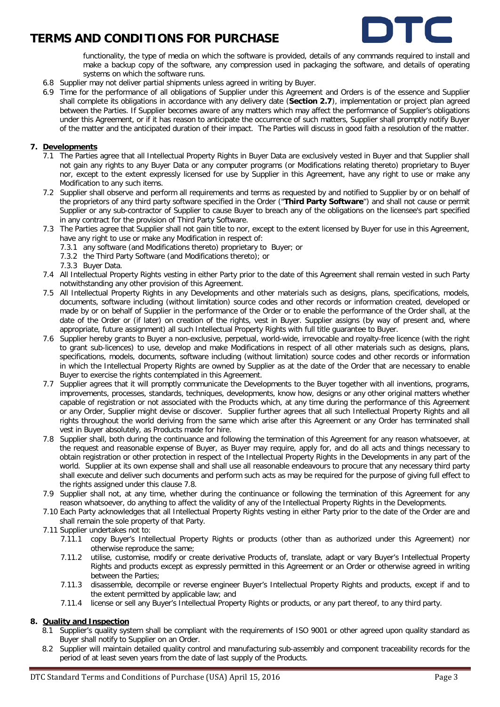

functionality, the type of media on which the software is provided, details of any commands required to install and make a backup copy of the software, any compression used in packaging the software, and details of operating systems on which the software runs.

- 6.8 Supplier may not deliver partial shipments unless agreed in writing by Buyer.
- 6.9 Time for the performance of all obligations of Supplier under this Agreement and Orders is of the essence and Supplier shall complete its obligations in accordance with any delivery date (**Section 2.7**), implementation or project plan agreed between the Parties. If Supplier becomes aware of any matters which may affect the performance of Supplier's obligations under this Agreement, or if it has reason to anticipate the occurrence of such matters, Supplier shall promptly notify Buyer of the matter and the anticipated duration of their impact. The Parties will discuss in good faith a resolution of the matter.

### **7. Developments**

- 7.1 The Parties agree that all Intellectual Property Rights in Buyer Data are exclusively vested in Buyer and that Supplier shall not gain any rights to any Buyer Data or any computer programs (or Modifications relating thereto) proprietary to Buyer nor, except to the extent expressly licensed for use by Supplier in this Agreement, have any right to use or make any Modification to any such items.
- 7.2 Supplier shall observe and perform all requirements and terms as requested by and notified to Supplier by or on behalf of the proprietors of any third party software specified in the Order ("**Third Party Software**") and shall not cause or permit Supplier or any sub-contractor of Supplier to cause Buyer to breach any of the obligations on the licensee's part specified in any contract for the provision of Third Party Software.
- 7.3 The Parties agree that Supplier shall not gain title to nor, except to the extent licensed by Buyer for use in this Agreement, have any right to use or make any Modification in respect of:
	- 7.3.1 any software (and Modifications thereto) proprietary to Buyer; or
	- 7.3.2 the Third Party Software (and Modifications thereto); or
	- 7.3.3 Buyer Data.
- 7.4 All Intellectual Property Rights vesting in either Party prior to the date of this Agreement shall remain vested in such Party notwithstanding any other provision of this Agreement.
- 7.5 All Intellectual Property Rights in any Developments and other materials such as designs, plans, specifications, models, documents, software including (without limitation) source codes and other records or information created, developed or made by or on behalf of Supplier in the performance of the Order or to enable the performance of the Order shall, at the date of the Order or (if later) on creation of the rights, vest in Buyer. Supplier assigns (by way of present and, where appropriate, future assignment) all such Intellectual Property Rights with full title guarantee to Buyer.
- 7.6 Supplier hereby grants to Buyer a non-exclusive, perpetual, world-wide, irrevocable and royalty-free licence (with the right to grant sub-licences) to use, develop and make Modifications in respect of all other materials such as designs, plans, specifications, models, documents, software including (without limitation) source codes and other records or information in which the Intellectual Property Rights are owned by Supplier as at the date of the Order that are necessary to enable Buyer to exercise the rights contemplated in this Agreement.
- 7.7 Supplier agrees that it will promptly communicate the Developments to the Buyer together with all inventions, programs, improvements, processes, standards, techniques, developments, know how, designs or any other original matters whether capable of registration or not associated with the Products which, at any time during the performance of this Agreement or any Order, Supplier might devise or discover. Supplier further agrees that all such Intellectual Property Rights and all rights throughout the world deriving from the same which arise after this Agreement or any Order has terminated shall vest in Buyer absolutely, as Products made for hire.
- 7.8 Supplier shall, both during the continuance and following the termination of this Agreement for any reason whatsoever, at the request and reasonable expense of Buyer, as Buyer may require, apply for, and do all acts and things necessary to obtain registration or other protection in respect of the Intellectual Property Rights in the Developments in any part of the world. Supplier at its own expense shall and shall use all reasonable endeavours to procure that any necessary third party shall execute and deliver such documents and perform such acts as may be required for the purpose of giving full effect to the rights assigned under this clause 7.8.
- 7.9 Supplier shall not, at any time, whether during the continuance or following the termination of this Agreement for any reason whatsoever, do anything to affect the validity of any of the Intellectual Property Rights in the Developments.
- 7.10 Each Party acknowledges that all Intellectual Property Rights vesting in either Party prior to the date of the Order are and shall remain the sole property of that Party.
- 7.11 Supplier undertakes not to:
	- 7.11.1 copy Buyer's Intellectual Property Rights or products (other than as authorized under this Agreement) nor otherwise reproduce the same;
	- 7.11.2 utilise, customise, modify or create derivative Products of, translate, adapt or vary Buyer's Intellectual Property Rights and products except as expressly permitted in this Agreement or an Order or otherwise agreed in writing between the Parties;
	- 7.11.3 disassemble, decompile or reverse engineer Buyer's Intellectual Property Rights and products, except if and to the extent permitted by applicable law; and
	- 7.11.4 license or sell any Buyer's Intellectual Property Rights or products, or any part thereof, to any third party.

### **8. Quality and Inspection**

- 8.1 Supplier's quality system shall be compliant with the requirements of ISO 9001 or other agreed upon quality standard as Buyer shall notify to Supplier on an Order.
- 8.2 Supplier will maintain detailed quality control and manufacturing sub-assembly and component traceability records for the period of at least seven years from the date of last supply of the Products.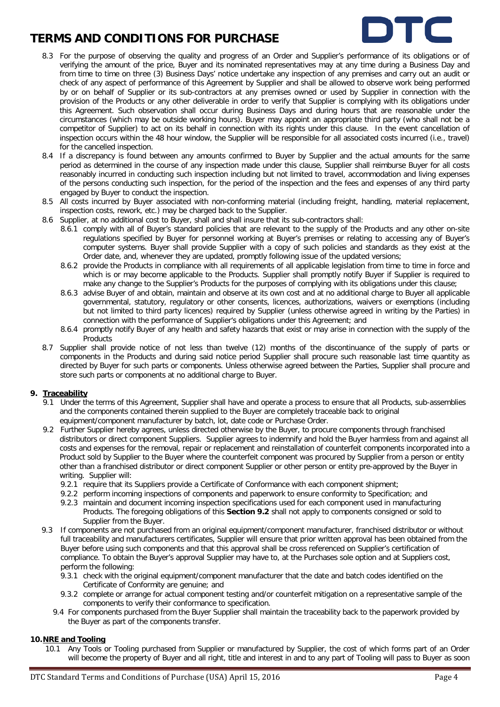

- 8.3 For the purpose of observing the quality and progress of an Order and Supplier's performance of its obligations or of verifying the amount of the price, Buyer and its nominated representatives may at any time during a Business Day and from time to time on three (3) Business Days' notice undertake any inspection of any premises and carry out an audit or check of any aspect of performance of this Agreement by Supplier and shall be allowed to observe work being performed by or on behalf of Supplier or its sub-contractors at any premises owned or used by Supplier in connection with the provision of the Products or any other deliverable in order to verify that Supplier is complying with its obligations under this Agreement. Such observation shall occur during Business Days and during hours that are reasonable under the circumstances (which may be outside working hours). Buyer may appoint an appropriate third party (who shall not be a competitor of Supplier) to act on its behalf in connection with its rights under this clause. In the event cancellation of inspection occurs within the 48 hour window, the Supplier will be responsible for all associated costs incurred (i.e., travel) for the cancelled inspection.
- 8.4 If a discrepancy is found between any amounts confirmed to Buyer by Supplier and the actual amounts for the same period as determined in the course of any inspection made under this clause, Supplier shall reimburse Buyer for all costs reasonably incurred in conducting such inspection including but not limited to travel, accommodation and living expenses of the persons conducting such inspection, for the period of the inspection and the fees and expenses of any third party engaged by Buyer to conduct the inspection.
- 8.5 All costs incurred by Buyer associated with non-conforming material (including freight, handling, material replacement, inspection costs, rework, etc.) may be charged back to the Supplier.
- 8.6 Supplier, at no additional cost to Buyer, shall and shall insure that its sub-contractors shall:
	- 8.6.1 comply with all of Buyer's standard policies that are relevant to the supply of the Products and any other on-site regulations specified by Buyer for personnel working at Buyer's premises or relating to accessing any of Buyer's computer systems. Buyer shall provide Supplier with a copy of such policies and standards as they exist at the Order date, and, whenever they are updated, promptly following issue of the updated versions;
	- 8.6.2 provide the Products in compliance with all requirements of all applicable legislation from time to time in force and which is or may become applicable to the Products. Supplier shall promptly notify Buyer if Supplier is required to make any change to the Supplier's Products for the purposes of complying with its obligations under this clause;
	- 8.6.3 advise Buyer of and obtain, maintain and observe at its own cost and at no additional charge to Buyer all applicable governmental, statutory, regulatory or other consents, licences, authorizations, waivers or exemptions (including but not limited to third party licences) required by Supplier (unless otherwise agreed in writing by the Parties) in connection with the performance of Supplier's obligations under this Agreement; and
	- 8.6.4 promptly notify Buyer of any health and safety hazards that exist or may arise in connection with the supply of the Products
- 8.7 Supplier shall provide notice of not less than twelve (12) months of the discontinuance of the supply of parts or components in the Products and during said notice period Supplier shall procure such reasonable last time quantity as directed by Buyer for such parts or components. Unless otherwise agreed between the Parties, Supplier shall procure and store such parts or components at no additional charge to Buyer.

### **9. Traceability**

- 9.1 Under the terms of this Agreement, Supplier shall have and operate a process to ensure that all Products, sub-assemblies and the components contained therein supplied to the Buyer are completely traceable back to original equipment/component manufacturer by batch, lot, date code or Purchase Order.
- <span id="page-3-0"></span>9.2 Further Supplier hereby agrees, unless directed otherwise by the Buyer, to procure components through franchised distributors or direct component Suppliers. Supplier agrees to indemnify and hold the Buyer harmless from and against all costs and expenses for the removal, repair or replacement and reinstallation of counterfeit components incorporated into a Product sold by Supplier to the Buyer where the counterfeit component was procured by Supplier from a person or entity other than a franchised distributor or direct component Supplier or other person or entity pre-approved by the Buyer in writing. Supplier will:
	- 9.2.1 require that its Suppliers provide a Certificate of Conformance with each component shipment;
	- 9.2.2 perform incoming inspections of components and paperwork to ensure conformity to Specification; and
	- 9.2.3 maintain and document incoming inspection specifications used for each component used in manufacturing Products. The foregoing obligations of this **Section [9.2](#page-3-0)** shall not apply to components consigned or sold to Supplier from the Buyer.
- 9.3 If components are not purchased from an original equipment/component manufacturer, franchised distributor or without full traceability and manufacturers certificates, Supplier will ensure that prior written approval has been obtained from the Buyer before using such components and that this approval shall be cross referenced on Supplier's certification of compliance. To obtain the Buyer's approval Supplier may have to, at the Purchases sole option and at Suppliers cost, perform the following:
	- 9.3.1 check with the original equipment/component manufacturer that the date and batch codes identified on the Certificate of Conformity are genuine; and
	- 9.3.2 complete or arrange for actual component testing and/or counterfeit mitigation on a representative sample of the components to verify their conformance to specification.
	- 9.4 For components purchased from the Buyer Supplier shall maintain the traceability back to the paperwork provided by the Buyer as part of the components transfer.

### **10.NRE and Tooling**

10.1 Any Tools or Tooling purchased from Supplier or manufactured by Supplier, the cost of which forms part of an Order will become the property of Buyer and all right, title and interest in and to any part of Tooling will pass to Buyer as soon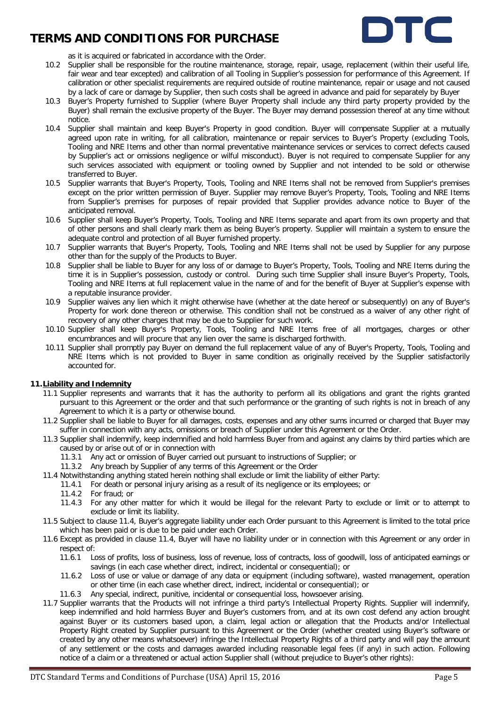

as it is acquired or fabricated in accordance with the Order.

- 10.2 Supplier shall be responsible for the routine maintenance, storage, repair, usage, replacement (within their useful life, fair wear and tear excepted) and calibration of all Tooling in Supplier's possession for performance of this Agreement. If calibration or other specialist requirements are required outside of routine maintenance, repair or usage and not caused by a lack of care or damage by Supplier, then such costs shall be agreed in advance and paid for separately by Buyer
- 10.3 Buyer's Property furnished to Supplier (where Buyer Property shall include any third party property provided by the Buyer) shall remain the exclusive property of the Buyer. The Buyer may demand possession thereof at any time without notice.
- 10.4 Supplier shall maintain and keep Buyer's Property in good condition. Buyer will compensate Supplier at a mutually agreed upon rate in writing, for all calibration, maintenance or repair services to Buyer's Property (excluding Tools, Tooling and NRE Items and other than normal preventative maintenance services or services to correct defects caused by Supplier's act or omissions negligence or wilful misconduct). Buyer is not required to compensate Supplier for any such services associated with equipment or tooling owned by Supplier and not intended to be sold or otherwise transferred to Buyer.
- 10.5 Supplier warrants that Buyer's Property, Tools, Tooling and NRE Items shall not be removed from Supplier's premises except on the prior written permission of Buyer. Supplier may remove Buyer's Property, Tools, Tooling and NRE Items from Supplier's premises for purposes of repair provided that Supplier provides advance notice to Buyer of the anticipated removal.
- 10.6 Supplier shall keep Buyer's Property, Tools, Tooling and NRE Items separate and apart from its own property and that of other persons and shall clearly mark them as being Buyer's property. Supplier will maintain a system to ensure the adequate control and protection of all Buyer furnished property.
- 10.7 Supplier warrants that Buyer's Property, Tools, Tooling and NRE Items shall not be used by Supplier for any purpose other than for the supply of the Products to Buyer.
- 10.8 Supplier shall be liable to Buyer for any loss of or damage to Buyer's Property, Tools, Tooling and NRE Items during the time it is in Supplier's possession, custody or control. During such time Supplier shall insure Buyer's Property, Tools, Tooling and NRE Items at full replacement value in the name of and for the benefit of Buyer at Supplier's expense with a reputable insurance provider.
- 10.9 Supplier waives any lien which it might otherwise have (whether at the date hereof or subsequently) on any of Buyer's Property for work done thereon or otherwise. This condition shall not be construed as a waiver of any other right of recovery of any other charges that may be due to Supplier for such work.
- 10.10 Supplier shall keep Buyer's Property, Tools, Tooling and NRE Items free of all mortgages, charges or other encumbrances and will procure that any lien over the same is discharged forthwith.
- 10.11 Supplier shall promptly pay Buyer on demand the full replacement value of any of Buyer's Property, Tools, Tooling and NRE Items which is not provided to Buyer in same condition as originally received by the Supplier satisfactorily accounted for.

### **11.Liability and Indemnity**

- 11.1 Supplier represents and warrants that it has the authority to perform all its obligations and grant the rights granted pursuant to this Agreement or the order and that such performance or the granting of such rights is not in breach of any Agreement to which it is a party or otherwise bound.
- 11.2 Supplier shall be liable to Buyer for all damages, costs, expenses and any other sums incurred or charged that Buyer may suffer in connection with any acts, omissions or breach of Supplier under this Agreement or the Order.
- 11.3 Supplier shall indemnify, keep indemnified and hold harmless Buyer from and against any claims by third parties which are caused by or arise out of or in connection with
	- 11.3.1 Any act or omission of Buyer carried out pursuant to instructions of Supplier; or
	- 11.3.2 Any breach by Supplier of any terms of this Agreement or the Order
- <span id="page-4-0"></span>11.4 Notwithstanding anything stated herein nothing shall exclude or limit the liability of either Party:
	- 11.4.1 For death or personal injury arising as a result of its negligence or its employees; or
	- 11.4.2 For fraud; or
	- 11.4.3 For any other matter for which it would be illegal for the relevant Party to exclude or limit or to attempt to exclude or limit its liability.
- 11.5 Subject to clause [11.4,](#page-4-0) Buyer's aggregate liability under each Order pursuant to this Agreement is limited to the total price which has been paid or is due to be paid under each Order.
- 11.6 Except as provided in clause [11.4,](#page-4-0) Buyer will have no liability under or in connection with this Agreement or any order in respect of:
	- 11.6.1 Loss of profits, loss of business, loss of revenue, loss of contracts, loss of goodwill, loss of anticipated earnings or savings (in each case whether direct, indirect, incidental or consequential); or
	- 11.6.2 Loss of use or value or damage of any data or equipment (including software), wasted management, operation or other time (in each case whether direct, indirect, incidental or consequential); or
	- 11.6.3 Any special, indirect, punitive, incidental or consequential loss, howsoever arising.
- 11.7 Supplier warrants that the Products will not infringe a third party's Intellectual Property Rights. Supplier will indemnify, keep indemnified and hold harmless Buyer and Buyer's customers from, and at its own cost defend any action brought against Buyer or its customers based upon, a claim, legal action or allegation that the Products and/or Intellectual Property Right created by Supplier pursuant to this Agreement or the Order (whether created using Buyer's software or created by any other means whatsoever) infringe the Intellectual Property Rights of a third party and will pay the amount of any settlement or the costs and damages awarded including reasonable legal fees (if any) in such action. Following notice of a claim or a threatened or actual action Supplier shall (without prejudice to Buyer's other rights):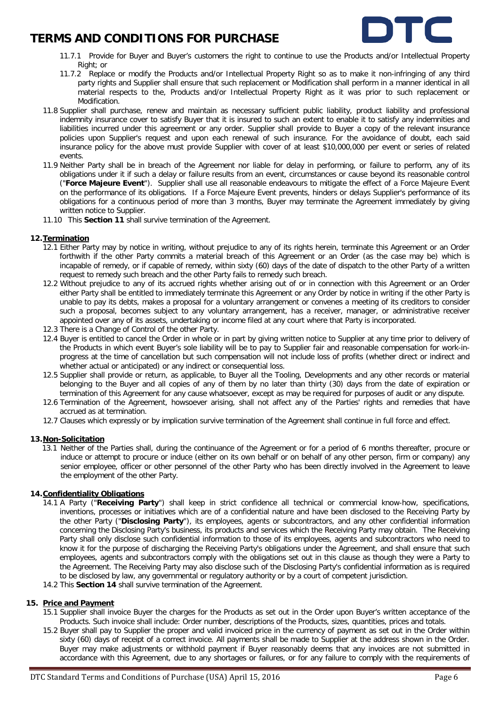

- 11.7.1 Provide for Buyer and Buyer's customers the right to continue to use the Products and/or Intellectual Property Right; or
- 11.7.2 Replace or modify the Products and/or Intellectual Property Right so as to make it non-infringing of any third party rights and Supplier shall ensure that such replacement or Modification shall perform in a manner identical in all material respects to the, Products and/or Intellectual Property Right as it was prior to such replacement or Modification.
- 11.8 Supplier shall purchase, renew and maintain as necessary sufficient public liability, product liability and professional indemnity insurance cover to satisfy Buyer that it is insured to such an extent to enable it to satisfy any indemnities and liabilities incurred under this agreement or any order. Supplier shall provide to Buyer a copy of the relevant insurance policies upon Supplier's request and upon each renewal of such insurance. For the avoidance of doubt, each said insurance policy for the above must provide Supplier with cover of at least \$10,000,000 per event or series of related events.
- 11.9 Neither Party shall be in breach of the Agreement nor liable for delay in performing, or failure to perform, any of its obligations under it if such a delay or failure results from an event, circumstances or cause beyond its reasonable control ("**Force Majeure Event**"). Supplier shall use all reasonable endeavours to mitigate the effect of a Force Majeure Event on the performance of its obligations. If a Force Majeure Event prevents, hinders or delays Supplier's performance of its obligations for a continuous period of more than 3 months, Buyer may terminate the Agreement immediately by giving written notice to Supplier.
- 11.10 This **Section 11** shall survive termination of the Agreement.

### <span id="page-5-0"></span>**12.Termination**

- 12.1 Either Party may by notice in writing, without prejudice to any of its rights herein, terminate this Agreement or an Order forthwith if the other Party commits a material breach of this Agreement or an Order (as the case may be) which is incapable of remedy, or if capable of remedy, within sixty (60) days of the date of dispatch to the other Party of a written request to remedy such breach and the other Party fails to remedy such breach.
- 12.2 Without prejudice to any of its accrued rights whether arising out of or in connection with this Agreement or an Order either Party shall be entitled to immediately terminate this Agreement or any Order by notice in writing if the other Party is unable to pay its debts, makes a proposal for a voluntary arrangement or convenes a meeting of its creditors to consider such a proposal, becomes subject to any voluntary arrangement, has a receiver, manager, or administrative receiver appointed over any of its assets, undertaking or income filed at any court where that Party is incorporated.
- 12.3 There is a Change of Control of the other Party.
- 12.4 Buyer is entitled to cancel the Order in whole or in part by giving written notice to Supplier at any time prior to delivery of the Products in which event Buyer's sole liability will be to pay to Supplier fair and reasonable compensation for work-inprogress at the time of cancellation but such compensation will not include loss of profits (whether direct or indirect and whether actual or anticipated) or any indirect or consequential loss.
- 12.5 Supplier shall provide or return, as applicable, to Buyer all the Tooling, Developments and any other records or material belonging to the Buyer and all copies of any of them by no later than thirty (30) days from the date of expiration or termination of this Agreement for any cause whatsoever, except as may be required for purposes of audit or any dispute.
- 12.6 Termination of the Agreement, howsoever arising, shall not affect any of the Parties' rights and remedies that have accrued as at termination.
- 12.7 Clauses which expressly or by implication survive termination of the Agreement shall continue in full force and effect.

### **13.Non-Solicitation**

13.1 Neither of the Parties shall, during the continuance of the Agreement or for a period of 6 months thereafter, procure or induce or attempt to procure or induce (either on its own behalf or on behalf of any other person, firm or company) any senior employee, officer or other personnel of the other Party who has been directly involved in the Agreement to leave the employment of the other Party.

### **14.Confidentiality Obligations**

- 14.1 A Party ("**Receiving Party**") shall keep in strict confidence all technical or commercial know-how, specifications, inventions, processes or initiatives which are of a confidential nature and have been disclosed to the Receiving Party by the other Party ("**Disclosing Party**"), its employees, agents or subcontractors, and any other confidential information concerning the Disclosing Party's business, its products and services which the Receiving Party may obtain. The Receiving Party shall only disclose such confidential information to those of its employees, agents and subcontractors who need to know it for the purpose of discharging the Receiving Party's obligations under the Agreement, and shall ensure that such employees, agents and subcontractors comply with the obligations set out in this clause as though they were a Party to the Agreement. The Receiving Party may also disclose such of the Disclosing Party's confidential information as is required to be disclosed by law, any governmental or regulatory authority or by a court of competent jurisdiction.
- 14.2 This **Section 14** shall survive termination of the Agreement.

### **15. Price and Payment**

- 15.1 Supplier shall invoice Buyer the charges for the Products as set out in the Order upon Buyer's written acceptance of the Products. Such invoice shall include: Order number, descriptions of the Products, sizes, quantities, prices and totals.
- 15.2 Buyer shall pay to Supplier the proper and valid invoiced price in the currency of payment as set out in the Order within sixty (60) days of receipt of a correct invoice. All payments shall be made to Supplier at the address shown in the Order. Buyer may make adjustments or withhold payment if Buyer reasonably deems that any invoices are not submitted in accordance with this Agreement, due to any shortages or failures, or for any failure to comply with the requirements of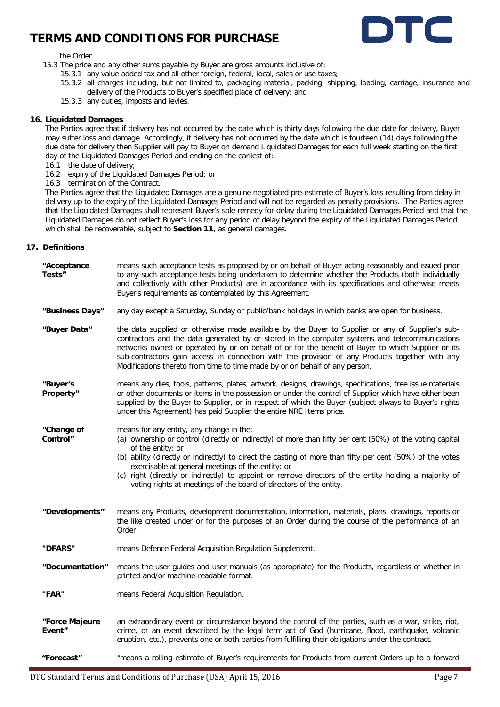

#### the Order.

- 15.3 The price and any other sums payable by Buyer are gross amounts inclusive of:
	- 15.3.1 any value added tax and all other foreign, federal, local, sales or use taxes;
	- 15.3.2 all charges including, but not limited to, packaging material, packing, shipping, loading, carriage, insurance and delivery of the Products to Buyer's specified place of delivery; and
	- 15.3.3 any duties, imposts and levies.

### **16. Liquidated Damages**

The Parties agree that if delivery has not occurred by the date which is thirty days following the due date for delivery, Buyer may suffer loss and damage. Accordingly, if delivery has not occurred by the date which is fourteen (14) days following the due date for delivery then Supplier will pay to Buyer on demand Liquidated Damages for each full week starting on the first day of the Liquidated Damages Period and ending on the earliest of:

- 16.1 the date of delivery;
- 16.2 expiry of the Liquidated Damages Period; or

16.3 termination of the Contract.

The Parties agree that the Liquidated Damages are a genuine negotiated pre-estimate of Buyer's loss resulting from delay in delivery up to the expiry of the Liquidated Damages Period and will not be regarded as penalty provisions. The Parties agree that the Liquidated Damages shall represent Buyer's sole remedy for delay during the Liquidated Damages Period and that the Liquidated Damages do not reflect Buyer's loss for any period of delay beyond the expiry of the Liquidated Damages Period which shall be recoverable, subject to **Section 11**, as general damages.

### **17. Definitions**

| "Acceptance<br>Tests"    | means such acceptance tests as proposed by or on behalf of Buyer acting reasonably and issued prior<br>to any such acceptance tests being undertaken to determine whether the Products (both individually<br>and collectively with other Products) are in accordance with its specifications and otherwise meets<br>Buyer's requirements as contemplated by this Agreement.                                                                                                                                                 |
|--------------------------|-----------------------------------------------------------------------------------------------------------------------------------------------------------------------------------------------------------------------------------------------------------------------------------------------------------------------------------------------------------------------------------------------------------------------------------------------------------------------------------------------------------------------------|
| "Business Days"          | any day except a Saturday, Sunday or public/bank holidays in which banks are open for business.                                                                                                                                                                                                                                                                                                                                                                                                                             |
| "Buyer Data"             | the data supplied or otherwise made available by the Buyer to Supplier or any of Supplier's sub-<br>contractors and the data generated by or stored in the computer systems and telecommunications<br>networks owned or operated by or on behalf of or for the benefit of Buyer to which Supplier or its<br>sub-contractors gain access in connection with the provision of any Products together with any<br>Modifications thereto from time to time made by or on behalf of any person.                                   |
| "Buyer's<br>Property"    | means any dies, tools, patterns, plates, artwork, designs, drawings, specifications, free issue materials<br>or other documents or items in the possession or under the control of Supplier which have either been<br>supplied by the Buyer to Supplier, or in respect of which the Buyer (subject always to Buyer's rights<br>under this Agreement) has paid Supplier the entire NRE Items price.                                                                                                                          |
| "Change of<br>Control"   | means for any entity, any change in the:<br>(a) ownership or control (directly or indirectly) of more than fifty per cent (50%) of the voting capital<br>of the entity; or<br>(b) ability (directly or indirectly) to direct the casting of more than fifty per cent (50%) of the votes<br>exercisable at general meetings of the entity; or<br>(c) right (directly or indirectly) to appoint or remove directors of the entity holding a majority of<br>voting rights at meetings of the board of directors of the entity. |
| "Developments"           | means any Products, development documentation, information, materials, plans, drawings, reports or<br>the like created under or for the purposes of an Order during the course of the performance of an<br>Order.                                                                                                                                                                                                                                                                                                           |
| "DFARS"                  | means Defence Federal Acquisition Regulation Supplement.                                                                                                                                                                                                                                                                                                                                                                                                                                                                    |
| "Documentation"          | means the user guides and user manuals (as appropriate) for the Products, regardless of whether in<br>printed and/or machine-readable format.                                                                                                                                                                                                                                                                                                                                                                               |
| "FAR"                    | means Federal Acquisition Regulation.                                                                                                                                                                                                                                                                                                                                                                                                                                                                                       |
| "Force Majeure<br>Event" | an extraordinary event or circumstance beyond the control of the parties, such as a war, strike, riot,<br>crime, or an event described by the legal term act of God (hurricane, flood, earthquake, volcanic<br>eruption, etc.), prevents one or both parties from fulfilling their obligations under the contract.                                                                                                                                                                                                          |
| "Forecast"               | "means a rolling estimate of Buyer's requirements for Products from current Orders up to a forward                                                                                                                                                                                                                                                                                                                                                                                                                          |